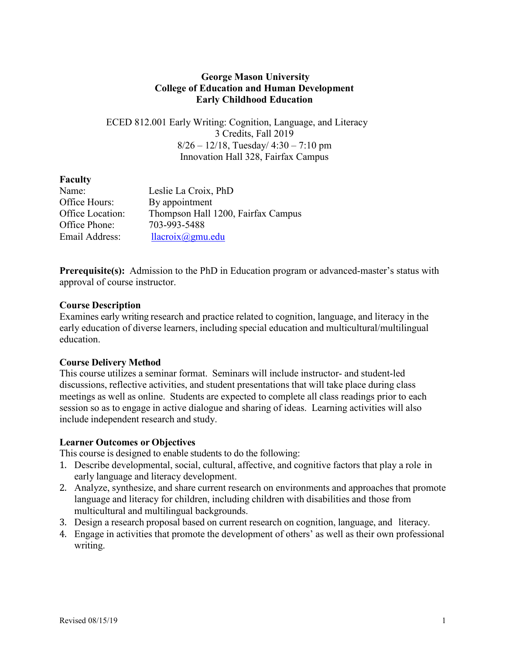## **George Mason University College of Education and Human Development Early Childhood Education**

## ECED 812.001 Early Writing: Cognition, Language, and Literacy 3 Credits, Fall 2019  $8/26 - 12/18$ , Tuesday/  $4:30 - 7:10$  pm Innovation Hall 328, Fairfax Campus

## **Faculty**

| Name:            | Leslie La Croix, PhD               |
|------------------|------------------------------------|
| Office Hours:    | By appointment                     |
| Office Location: | Thompson Hall 1200, Fairfax Campus |
| Office Phone:    | 703-993-5488                       |
| Email Address:   | llacroix@gmu.edu                   |

**Prerequisite(s):** Admission to the PhD in Education program or advanced-master's status with approval of course instructor.

## **Course Description**

Examines early writing research and practice related to cognition, language, and literacy in the early education of diverse learners, including special education and multicultural/multilingual education.

## **Course Delivery Method**

This course utilizes a seminar format. Seminars will include instructor- and student-led discussions, reflective activities, and student presentations that will take place during class meetings as well as online. Students are expected to complete all class readings prior to each session so as to engage in active dialogue and sharing of ideas. Learning activities will also include independent research and study.

## **Learner Outcomes or Objectives**

This course is designed to enable students to do the following:

- 1. Describe developmental, social, cultural, affective, and cognitive factors that play a role in early language and literacy development.
- 2. Analyze, synthesize, and share current research on environments and approaches that promote language and literacy for children, including children with disabilities and those from multicultural and multilingual backgrounds.
- 3. Design a research proposal based on current research on cognition, language, and literacy.
- 4. Engage in activities that promote the development of others' as well as their own professional writing.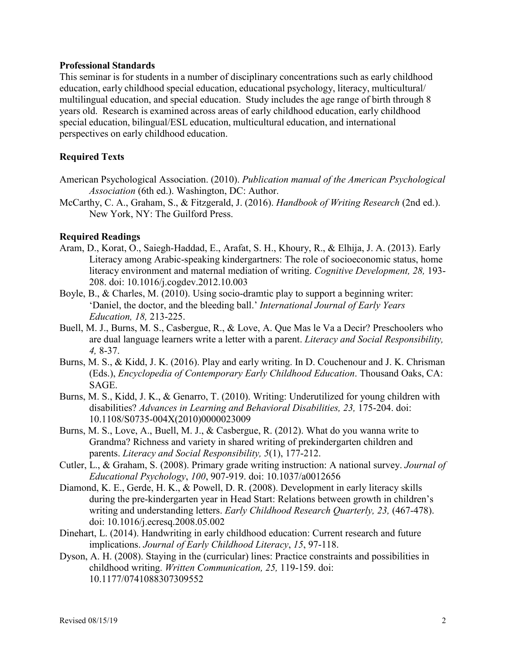#### **Professional Standards**

This seminar is for students in a number of disciplinary concentrations such as early childhood education, early childhood special education, educational psychology, literacy, multicultural/ multilingual education, and special education. Study includes the age range of birth through 8 years old. Research is examined across areas of early childhood education, early childhood special education, bilingual/ESL education, multicultural education, and international perspectives on early childhood education.

## **Required Texts**

- American Psychological Association. (2010). *Publication manual of the American Psychological Association* (6th ed.). Washington, DC: Author.
- McCarthy, C. A., Graham, S., & Fitzgerald, J. (2016). *Handbook of Writing Research* (2nd ed.). New York, NY: The Guilford Press.

### **Required Readings**

- Aram, D., Korat, O., Saiegh-Haddad, E., Arafat, S. H., Khoury, R., & Elhija, J. A. (2013). Early Literacy among Arabic-speaking kindergartners: The role of socioeconomic status, home literacy environment and maternal mediation of writing. *Cognitive Development, 28,* 193- 208. doi: 10.1016/j.cogdev.2012.10.003
- Boyle, B., & Charles, M. (2010). Using socio-dramtic play to support a beginning writer: 'Daniel, the doctor, and the bleeding ball.' *International Journal of Early Years Education, 18,* 213-225.
- Buell, M. J., Burns, M. S., Casbergue, R., & Love, A. Que Mas le Va a Decir? Preschoolers who are dual language learners write a letter with a parent. *Literacy and Social Responsibility, 4,* 8-37.
- Burns, M. S., & Kidd, J. K. (2016). Play and early writing. In D. Couchenour and J. K. Chrisman (Eds.), *Encyclopedia of Contemporary Early Childhood Education*. Thousand Oaks, CA: SAGE.
- Burns, M. S., Kidd, J. K., & Genarro, T. (2010). Writing: Underutilized for young children with disabilities? *Advances in Learning and Behavioral Disabilities, 23,* 175-204. doi: 10.1108/S0735-004X(2010)0000023009
- Burns, M. S., Love, A., Buell, M. J., & Casbergue, R. (2012). What do you wanna write to Grandma? Richness and variety in shared writing of prekindergarten children and parents. *Literacy and Social Responsibility, 5*(1), 177-212.
- Cutler, L., & Graham, S. (2008). Primary grade writing instruction: A national survey. *Journal of Educational Psychology*, *100*, 907-919. doi: 10.1037/a0012656
- Diamond, K. E., Gerde, H. K., & Powell, D. R. (2008). Development in early literacy skills during the pre-kindergarten year in Head Start: Relations between growth in children's writing and understanding letters. *Early Childhood Research Quarterly, 23,* (467-478). doi: 10.1016/j.ecresq.2008.05.002
- Dinehart, L. (2014). Handwriting in early childhood education: Current research and future implications. *Journal of Early Childhood Literacy*, *15*, 97-118.
- Dyson, A. H. (2008). Staying in the (curricular) lines: Practice constraints and possibilities in childhood writing. *Written Communication, 25,* 119-159. doi: 10.1177/0741088307309552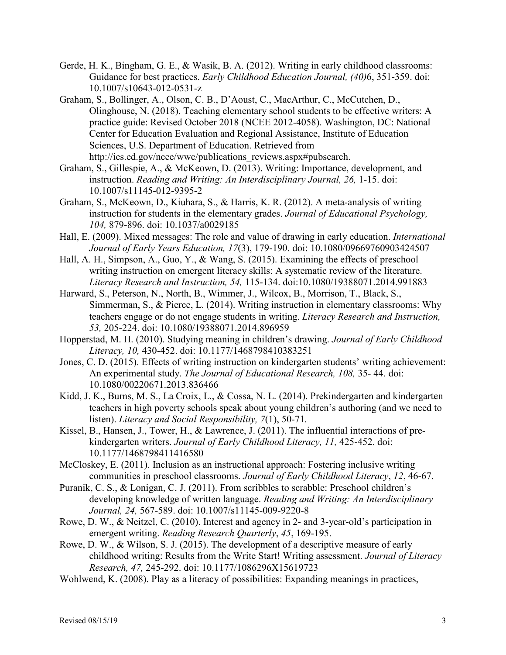- Gerde, H. K., Bingham, G. E., & Wasik, B. A. (2012). Writing in early childhood classrooms: Guidance for best practices. *Early Childhood Education Journal, (40)*6, 351-359. doi: 10.1007/s10643-012-0531-z
- Graham, S., Bollinger, A., Olson, C. B., D'Aoust, C., MacArthur, C., McCutchen, D., Olinghouse, N. (2018). Teaching elementary school students to be effective writers: A practice guide: Revised October 2018 (NCEE 2012-4058). Washington, DC: National Center for Education Evaluation and Regional Assistance, Institute of Education Sciences, U.S. Department of Education. Retrieved from http://ies.ed.gov/ncee/wwc/publications\_reviews.aspx#pubsearch.
- Graham, S., Gillespie, A., & McKeown, D. (2013). Writing: Importance, development, and instruction. *Reading and Writing: An Interdisciplinary Journal, 26, 1-15. doi:* 10.1007/s11145-012-9395-2
- Graham, S., McKeown, D., Kiuhara, S., & Harris, K. R. (2012). A meta-analysis of writing instruction for students in the elementary grades. *Journal of Educational Psychology, 104,* 879-896. doi: 10.1037/a0029185
- Hall, E. (2009). Mixed messages: The role and value of drawing in early education. *International Journal of Early Years Education, 17*(3), 179-190. doi: 10.1080/09669760903424507
- Hall, A. H., Simpson, A., Guo, Y., & Wang, S. (2015). Examining the effects of preschool writing instruction on emergent literacy skills: A systematic review of the literature. *Literacy Research and Instruction, 54,* 115-134. doi:10.1080/19388071.2014.991883
- Harward, S., Peterson, N., North, B., Wimmer, J., Wilcox, B., Morrison, T., Black, S., Simmerman, S., & Pierce, L. (2014). Writing instruction in elementary classrooms: Why teachers engage or do not engage students in writing. *Literacy Research and Instruction, 53,* 205-224. doi: 10.1080/19388071.2014.896959
- Hopperstad, M. H. (2010). Studying meaning in children's drawing. *Journal of Early Childhood Literacy, 10,* 430-452. doi: 10.1177/1468798410383251
- Jones, C. D. (2015). Effects of writing instruction on kindergarten students' writing achievement: An experimental study. *The Journal of Educational Research, 108,* 35- 44. doi: 10.1080/00220671.2013.836466
- Kidd, J. K., Burns, M. S., La Croix, L., & Cossa, N. L. (2014). Prekindergarten and kindergarten teachers in high poverty schools speak about young children's authoring (and we need to listen). *Literacy and Social Responsibility, 7*(1), 50-71*.*
- Kissel, B., Hansen, J., Tower, H., & Lawrence, J. (2011). The influential interactions of prekindergarten writers. *Journal of Early Childhood Literacy, 11,* 425-452. doi: 10.1177/1468798411416580
- McCloskey, E. (2011). Inclusion as an instructional approach: Fostering inclusive writing communities in preschool classrooms. *Journal of Early Childhood Literacy*, *12*, 46-67.
- Puranik, C. S., & Lonigan, C. J. (2011). From scribbles to scrabble: Preschool children's developing knowledge of written language. *Reading and Writing: An Interdisciplinary Journal, 24,* 567-589. doi: 10.1007/s11145-009-9220-8
- Rowe, D. W., & Neitzel, C. (2010). Interest and agency in 2- and 3-year-old's participation in emergent writing. *Reading Research Quarterly*, *45*, 169-195.
- Rowe, D. W., & Wilson, S. J. (2015). The development of a descriptive measure of early childhood writing: Results from the Write Start! Writing assessment. *Journal of Literacy Research, 47,* 245-292. doi: 10.1177/1086296X15619723
- Wohlwend, K. (2008). Play as a literacy of possibilities: Expanding meanings in practices,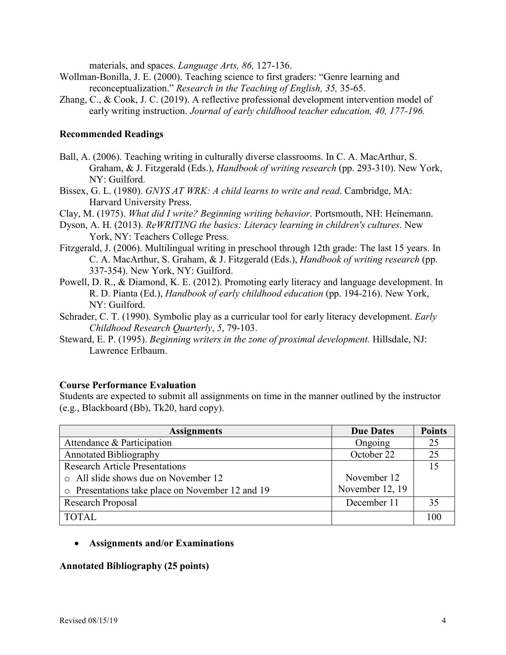materials, and spaces. *Language Arts, 86,* 127-136.

- Wollman-Bonilla, J. E. (2000). Teaching science to first graders: "Genre learning and reconceptualization." *Research in the Teaching of English, 35,* 35-65.
- Zhang, C., & Cook, J. C. (2019). A reflective professional development intervention model of early writing instruction. *Journal of early childhood teacher education, 40, 177-196.*

#### **Recommended Readings**

- Ball, A. (2006). Teaching writing in culturally diverse classrooms. In C. A. MacArthur, S. Graham, & J. Fitzgerald (Eds.), *Handbook of writing research* (pp. 293-310). New York, NY: Guilford.
- Bissex, G. L. (1980). *GNYS AT WRK: A child learns to write and read*. Cambridge, MA: Harvard University Press.
- Clay, M. (1975). *What did I write? Beginning writing behavior*. Portsmouth, NH: Heinemann.
- Dyson, A. H. (2013). *ReWRITING the basics: Literacy learning in children's cultures*. New York, NY: Teachers College Press.
- Fitzgerald, J. (2006). Multilingual writing in preschool through 12th grade: The last 15 years. In C. A. MacArthur, S. Graham, & J. Fitzgerald (Eds.), *Handbook of writing research* (pp. 337-354). New York, NY: Guilford.
- Powell, D. R., & Diamond, K. E. (2012). Promoting early literacy and language development. In R. D. Pianta (Ed.), *Handbook of early childhood education* (pp. 194-216). New York, NY: Guilford.
- Schrader, C. T. (1990). Symbolic play as a curricular tool for early literacy development. *Early Childhood Research Quarterly*, *5*, 79-103.
- Steward, E. P. (1995). *Beginning writers in the zone of proximal development.* Hillsdale, NJ: Lawrence Erlbaum.

### **Course Performance Evaluation**

Students are expected to submit all assignments on time in the manner outlined by the instructor (e.g., Blackboard (Bb), Tk20, hard copy).

| <b>Assignments</b>                               | <b>Due Dates</b> | <b>Points</b> |
|--------------------------------------------------|------------------|---------------|
| Attendance & Participation                       | Ongoing          | 25            |
| <b>Annotated Bibliography</b>                    | October 22       | 25            |
| <b>Research Article Presentations</b>            |                  | 15            |
| o All slide shows due on November 12             | November 12      |               |
| o Presentations take place on November 12 and 19 | November 12, 19  |               |
| Research Proposal                                | December 11      | 35            |
| <b>TOTAL</b>                                     |                  | 100           |

### • **Assignments and/or Examinations**

#### **Annotated Bibliography (25 points)**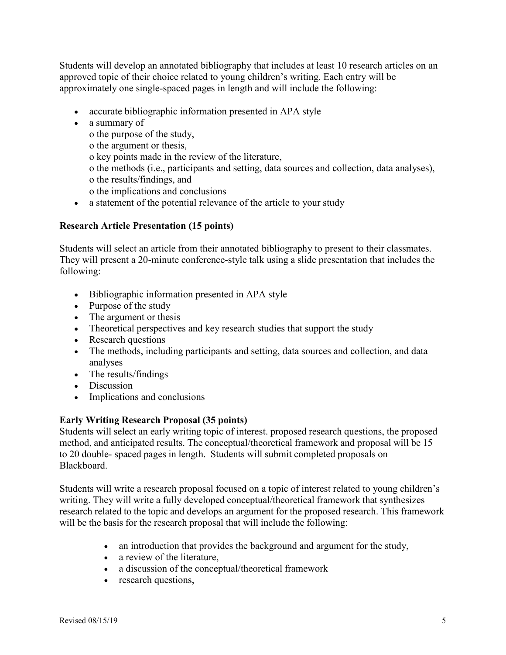Students will develop an annotated bibliography that includes at least 10 research articles on an approved topic of their choice related to young children's writing. Each entry will be approximately one single-spaced pages in length and will include the following:

- accurate bibliographic information presented in APA style
- a summary of

o the purpose of the study, o the argument or thesis, o key points made in the review of the literature, o the methods (i.e., participants and setting, data sources and collection, data analyses), o the results/findings, and o the implications and conclusions

• a statement of the potential relevance of the article to your study

# **Research Article Presentation (15 points)**

Students will select an article from their annotated bibliography to present to their classmates. They will present a 20-minute conference-style talk using a slide presentation that includes the following:

- Bibliographic information presented in APA style
- Purpose of the study
- The argument or thesis
- Theoretical perspectives and key research studies that support the study
- Research questions
- The methods, including participants and setting, data sources and collection, and data analyses
- The results/findings
- Discussion
- Implications and conclusions

# **Early Writing Research Proposal (35 points)**

Students will select an early writing topic of interest. proposed research questions, the proposed method, and anticipated results. The conceptual/theoretical framework and proposal will be 15 to 20 double- spaced pages in length. Students will submit completed proposals on Blackboard.

Students will write a research proposal focused on a topic of interest related to young children's writing. They will write a fully developed conceptual/theoretical framework that synthesizes research related to the topic and develops an argument for the proposed research. This framework will be the basis for the research proposal that will include the following:

- an introduction that provides the background and argument for the study,
- a review of the literature,
- a discussion of the conceptual/theoretical framework
- research questions,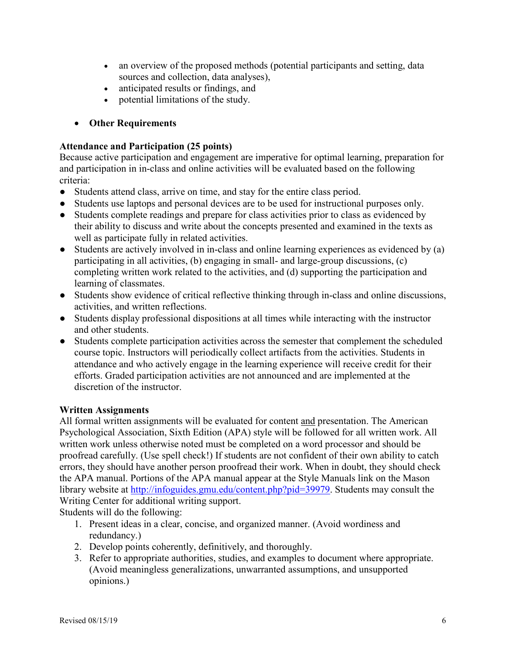- an overview of the proposed methods (potential participants and setting, data sources and collection, data analyses),
- anticipated results or findings, and
- potential limitations of the study.

## • **Other Requirements**

## **Attendance and Participation (25 points)**

Because active participation and engagement are imperative for optimal learning, preparation for and participation in in-class and online activities will be evaluated based on the following criteria:

- Students attend class, arrive on time, and stay for the entire class period.
- Students use laptops and personal devices are to be used for instructional purposes only.
- Students complete readings and prepare for class activities prior to class as evidenced by their ability to discuss and write about the concepts presented and examined in the texts as well as participate fully in related activities.
- Students are actively involved in in-class and online learning experiences as evidenced by (a) participating in all activities, (b) engaging in small- and large-group discussions, (c) completing written work related to the activities, and (d) supporting the participation and learning of classmates.
- Students show evidence of critical reflective thinking through in-class and online discussions, activities, and written reflections.
- Students display professional dispositions at all times while interacting with the instructor and other students.
- Students complete participation activities across the semester that complement the scheduled course topic. Instructors will periodically collect artifacts from the activities. Students in attendance and who actively engage in the learning experience will receive credit for their efforts. Graded participation activities are not announced and are implemented at the discretion of the instructor.

## **Written Assignments**

All formal written assignments will be evaluated for content and presentation. The American Psychological Association, Sixth Edition (APA) style will be followed for all written work. All written work unless otherwise noted must be completed on a word processor and should be proofread carefully. (Use spell check!) If students are not confident of their own ability to catch errors, they should have another person proofread their work. When in doubt, they should check the APA manual. Portions of the APA manual appear at the Style Manuals link on the Mason library website at [http://infoguides.gmu.edu/content.php?pid=39979.](http://infoguides.gmu.edu/content.php?pid=39979) Students may consult the Writing Center for additional writing support.

Students will do the following:

- 1. Present ideas in a clear, concise, and organized manner. (Avoid wordiness and redundancy.)
- 2. Develop points coherently, definitively, and thoroughly.
- 3. Refer to appropriate authorities, studies, and examples to document where appropriate. (Avoid meaningless generalizations, unwarranted assumptions, and unsupported opinions.)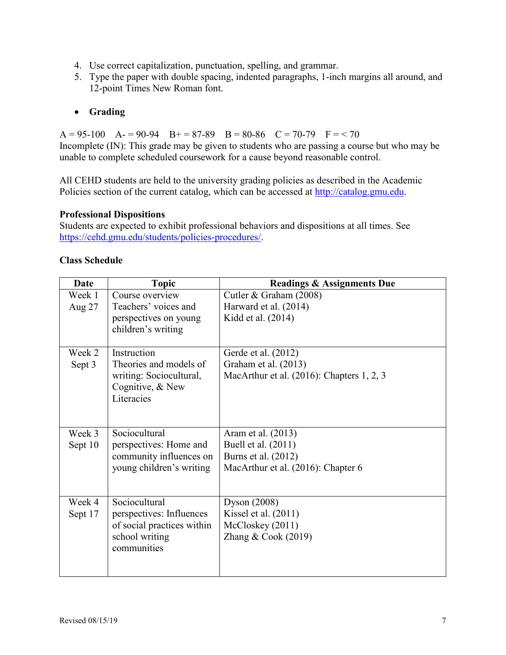- 4. Use correct capitalization, punctuation, spelling, and grammar.
- 5. Type the paper with double spacing, indented paragraphs, 1-inch margins all around, and 12-point Times New Roman font.

## • **Grading**

 $A = 95-100$   $A = 90-94$   $B = 87-89$   $B = 80-86$   $C = 70-79$   $F = 70$ 

Incomplete (IN): This grade may be given to students who are passing a course but who may be unable to complete scheduled coursework for a cause beyond reasonable control.

All CEHD students are held to the university grading policies as described in the Academic Policies section of the current catalog, which can be accessed at [http://catalog.gmu.edu.](http://catalog.gmu.edu/)

## **Professional Dispositions**

Students are expected to exhibit professional behaviors and dispositions at all times. See [https://cehd.gmu.edu/students/policies-procedures/.](https://cehd.gmu.edu/students/policies-procedures/)

| <b>Date</b> | <b>Topic</b>               | <b>Readings &amp; Assignments Due</b>     |
|-------------|----------------------------|-------------------------------------------|
| Week 1      | Course overview            | Cutler & Graham (2008)                    |
| Aug $27$    | Teachers' voices and       | Harward et al. (2014)                     |
|             | perspectives on young      | Kidd et al. (2014)                        |
|             | children's writing         |                                           |
|             |                            |                                           |
| Week 2      | Instruction                | Gerde et al. (2012)                       |
| Sept 3      | Theories and models of     | Graham et al. (2013)                      |
|             | writing: Sociocultural,    | MacArthur et al. (2016): Chapters 1, 2, 3 |
|             | Cognitive, & New           |                                           |
|             | Literacies                 |                                           |
|             |                            |                                           |
|             |                            |                                           |
| Week 3      | Sociocultural              | Aram et al. (2013)                        |
| Sept 10     | perspectives: Home and     | Buell et al. (2011)                       |
|             | community influences on    | Burns et al. (2012)                       |
|             | young children's writing   | MacArthur et al. (2016): Chapter 6        |
|             |                            |                                           |
|             |                            |                                           |
| Week 4      | Sociocultural              | Dyson $(2008)$                            |
| Sept 17     | perspectives: Influences   | Kissel et al. $(2011)$                    |
|             | of social practices within | McCloskey (2011)                          |
|             | school writing             | Zhang $& Cook(2019)$                      |
|             | communities                |                                           |
|             |                            |                                           |
|             |                            |                                           |

## **Class Schedule**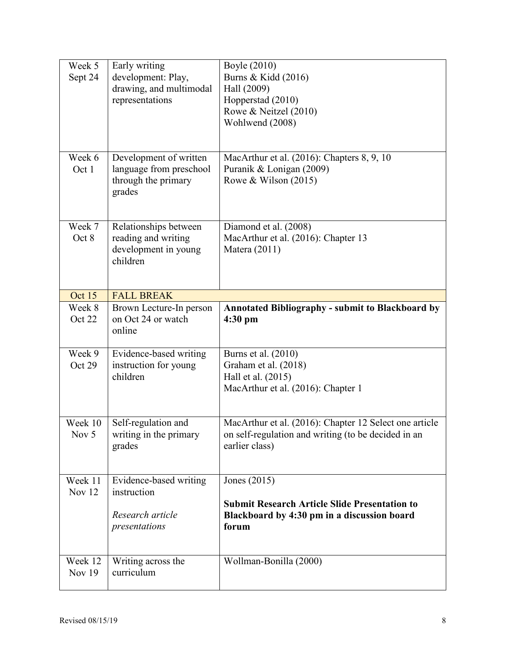| Week 5              | Early writing                                   | Boyle (2010)                                                          |
|---------------------|-------------------------------------------------|-----------------------------------------------------------------------|
| Sept 24             | development: Play,                              | Burns & Kidd (2016)                                                   |
|                     | drawing, and multimodal                         | Hall (2009)                                                           |
|                     | representations                                 | Hopperstad (2010)                                                     |
|                     |                                                 | Rowe & Neitzel (2010)                                                 |
|                     |                                                 | Wohlwend (2008)                                                       |
|                     |                                                 |                                                                       |
| Week 6              | Development of written                          | MacArthur et al. (2016): Chapters 8, 9, 10                            |
| Oct 1               | language from preschool                         | Puranik & Lonigan (2009)                                              |
|                     | through the primary                             | Rowe & Wilson $(2015)$                                                |
|                     | grades                                          |                                                                       |
|                     |                                                 |                                                                       |
| Week 7              | Relationships between                           | Diamond et al. (2008)                                                 |
| Oct 8               | reading and writing                             | MacArthur et al. (2016): Chapter 13                                   |
|                     | development in young                            | Matera (2011)                                                         |
|                     | children                                        |                                                                       |
|                     |                                                 |                                                                       |
| Oct 15              | <b>FALL BREAK</b>                               |                                                                       |
| Week 8              | Brown Lecture-In person                         | <b>Annotated Bibliography - submit to Blackboard by</b>               |
| Oct 22              | on Oct 24 or watch                              | 4:30 pm                                                               |
|                     | online                                          |                                                                       |
|                     |                                                 |                                                                       |
| Week 9              |                                                 |                                                                       |
| Oct 29              | Evidence-based writing<br>instruction for young | Burns et al. (2010)<br>Graham et al. (2018)                           |
|                     | children                                        | Hall et al. (2015)                                                    |
|                     |                                                 | MacArthur et al. (2016): Chapter 1                                    |
|                     |                                                 |                                                                       |
|                     |                                                 |                                                                       |
| Week 10             | Self-regulation and                             | MacArthur et al. (2016): Chapter 12 Select one article                |
| Nov 5               | writing in the primary<br>grades                | on self-regulation and writing (to be decided in an<br>earlier class) |
|                     |                                                 |                                                                       |
|                     |                                                 |                                                                       |
| Week 11<br>Nov $12$ | Evidence-based writing<br>instruction           | Jones (2015)                                                          |
|                     |                                                 | <b>Submit Research Article Slide Presentation to</b>                  |
|                     | Research article                                | Blackboard by 4:30 pm in a discussion board                           |
|                     | presentations                                   | forum                                                                 |
|                     |                                                 |                                                                       |
| Week 12             |                                                 |                                                                       |
| <b>Nov 19</b>       | Writing across the<br>curriculum                | Wollman-Bonilla (2000)                                                |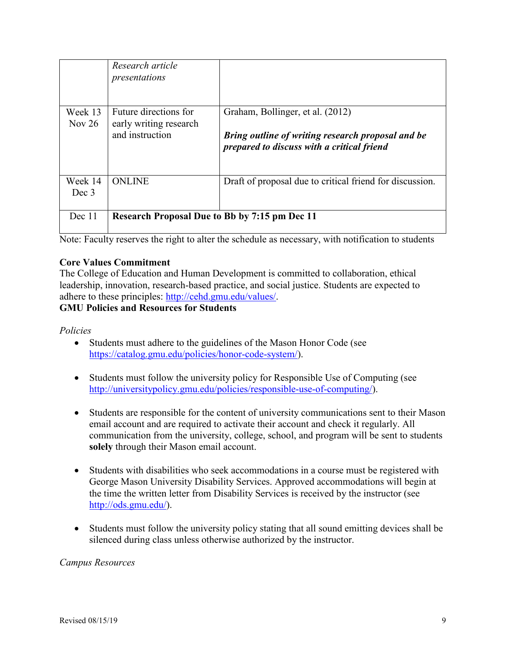|                     | Research article<br>presentations                    |                                                                                                 |
|---------------------|------------------------------------------------------|-------------------------------------------------------------------------------------------------|
| Week 13<br>Nov $26$ | Future directions for<br>early writing research      | Graham, Bollinger, et al. (2012)                                                                |
|                     | and instruction                                      | Bring outline of writing research proposal and be<br>prepared to discuss with a critical friend |
| Week 14<br>Dec 3    | <b>ONLINE</b>                                        | Draft of proposal due to critical friend for discussion.                                        |
|                     |                                                      |                                                                                                 |
| Dec 11              | <b>Research Proposal Due to Bb by 7:15 pm Dec 11</b> |                                                                                                 |

Note: Faculty reserves the right to alter the schedule as necessary, with notification to students

## **Core Values Commitment**

The College of Education and Human Development is committed to collaboration, ethical leadership, innovation, research-based practice, and social justice. Students are expected to adhere to these principles: [http://cehd.gmu.edu/values/.](http://cehd.gmu.edu/values/)

## **GMU Policies and Resources for Students**

*Policies*

- Students must adhere to the guidelines of the Mason Honor Code (see [https://catalog.gmu.edu/policies/honor-code-system/\)](https://catalog.gmu.edu/policies/honor-code-system/).
- Students must follow the university policy for Responsible Use of Computing (see [http://universitypolicy.gmu.edu/policies/responsible-use-of-computing/\)](http://universitypolicy.gmu.edu/policies/responsible-use-of-computing/).
- Students are responsible for the content of university communications sent to their Mason email account and are required to activate their account and check it regularly. All communication from the university, college, school, and program will be sent to students **solely** through their Mason email account.
- Students with disabilities who seek accommodations in a course must be registered with George Mason University Disability Services. Approved accommodations will begin at the time the written letter from Disability Services is received by the instructor (see [http://ods.gmu.edu/\)](http://ods.gmu.edu/).
- Students must follow the university policy stating that all sound emitting devices shall be silenced during class unless otherwise authorized by the instructor.

### *Campus Resources*